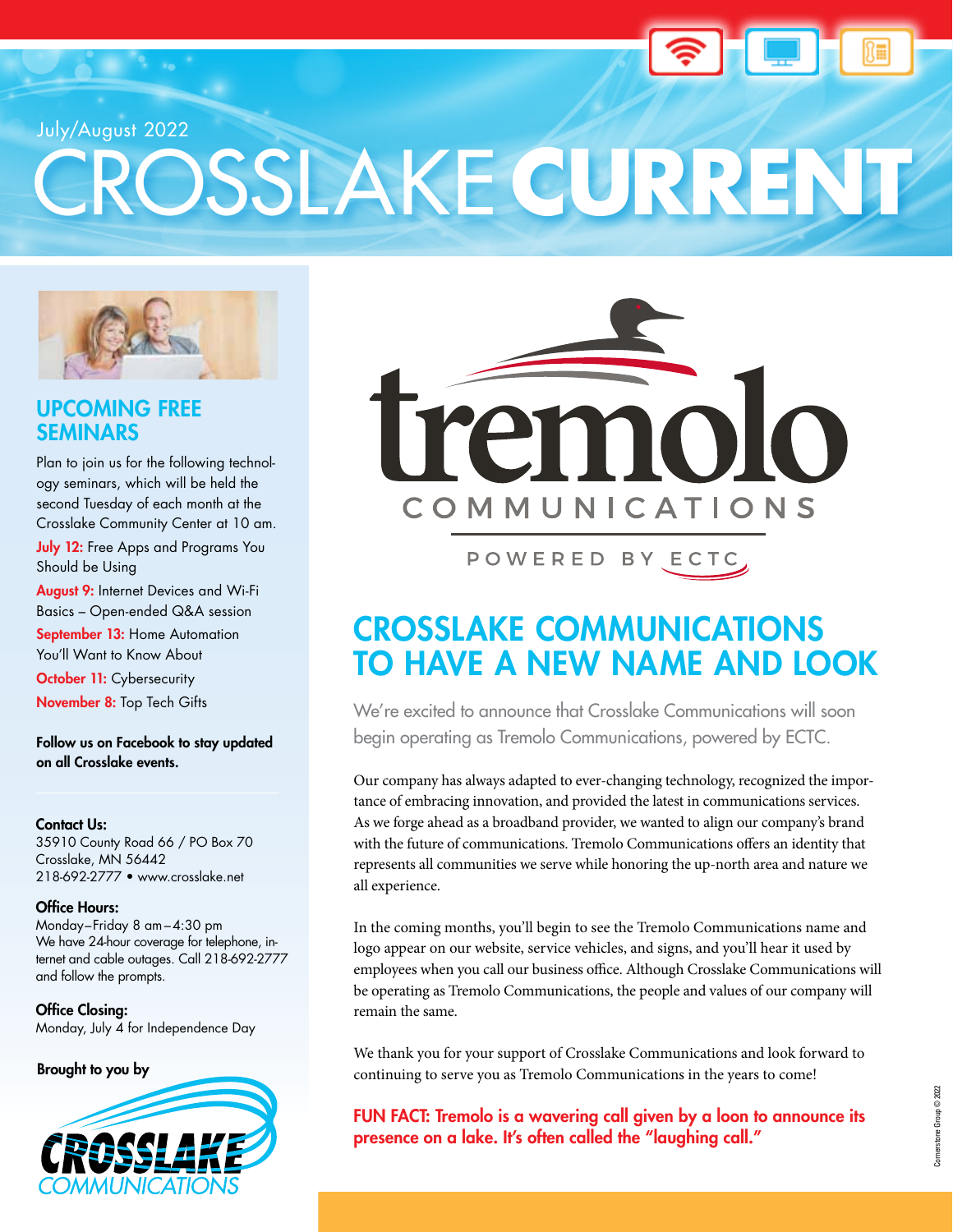July/August 2022

# CROSSLAKE **CURRENT**



# UPCOMING FREE SEMINARS

Plan to join us for the following technology seminars, which will be held the second Tuesday of each month at the Crosslake Community Center at 10 am. July 12: Free Apps and Programs You

Should be Using August 9: Internet Devices and Wi-Fi Basics – Open-ended Q&A session September 13: Home Automation You'll Want to Know About **October 11:** Cybersecurity

November 8: Top Tech Gifts

Follow us on Facebook to stay updated on all Crosslake events.

### Contact Us:

35910 County Road 66 / PO Box 70 Crosslake, MN 56442 218-692-2777 • www.crosslake.net

### Office Hours:

Monday – Friday 8 am – 4:30 pm We have 24-hour coverage for telephone, internet and cable outages. Call 218-692-2777 and follow the prompts.

### Office Closing:

Monday, July 4 for Independence Day

Brought to you by





POWERED BY ECTC

# CROSSLAKE COMMUNICATIONS TO HAVE A NEW NAME AND LOOK

We're excited to announce that Crosslake Communications will soon begin operating as Tremolo Communications, powered by ECTC.

Our company has always adapted to ever-changing technology, recognized the importance of embracing innovation, and provided the latest in communications services. As we forge ahead as a broadband provider, we wanted to align our company's brand with the future of communications. Tremolo Communications offers an identity that represents all communities we serve while honoring the up-north area and nature we all experience.

In the coming months, you'll begin to see the Tremolo Communications name and logo appear on our website, service vehicles, and signs, and you'll hear it used by employees when you call our business office. Although Crosslake Communications will be operating as Tremolo Communications, the people and values of our company will remain the same.

We thank you for your support of Crosslake Communications and look forward to continuing to serve you as Tremolo Communications in the years to come!

FUN FACT: Tremolo is a wavering call given by a loon to announce its presence on a lake. It's often called the "laughing call."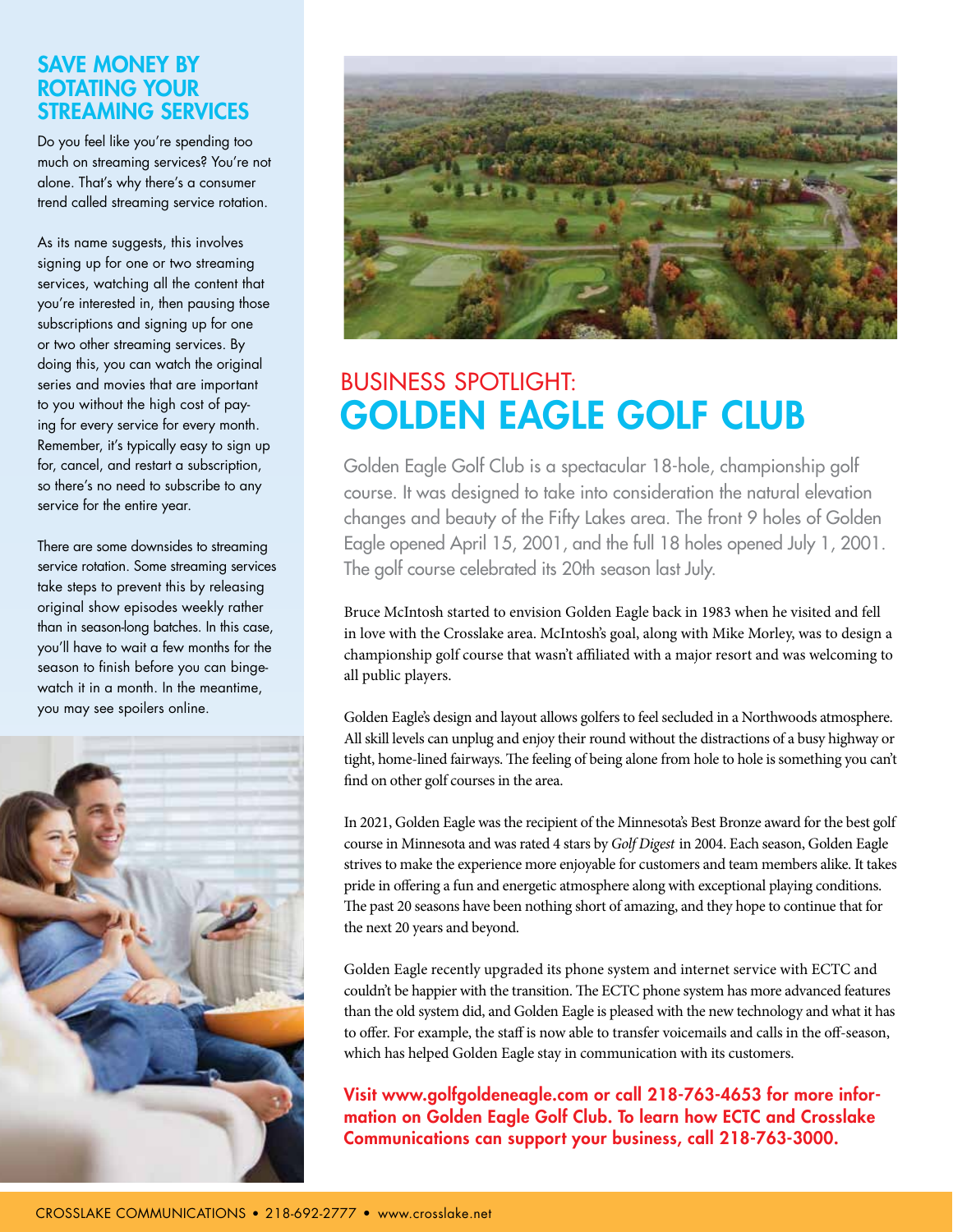# SAVE MONEY BY ROTATING YOUR STREAMING SERVICES

Do you feel like you're spending too much on streaming services? You're not alone. That's why there's a consumer trend called streaming service rotation.

As its name suggests, this involves signing up for one or two streaming services, watching all the content that you're interested in, then pausing those subscriptions and signing up for one or two other streaming services. By doing this, you can watch the original series and movies that are important to you without the high cost of paying for every service for every month. Remember, it's typically easy to sign up for, cancel, and restart a subscription, so there's no need to subscribe to any service for the entire year.

There are some downsides to streaming service rotation. Some streaming services take steps to prevent this by releasing original show episodes weekly rather than in season-long batches. In this case, you'll have to wait a few months for the season to finish before you can bingewatch it in a month. In the meantime, you may see spoilers online.





# BUSINESS SPOTLIGHT: GOLDEN EAGLE GOLF CLUB

Golden Eagle Golf Club is a spectacular 18-hole, championship golf course. It was designed to take into consideration the natural elevation changes and beauty of the Fifty Lakes area. The front 9 holes of Golden Eagle opened April 15, 2001, and the full 18 holes opened July 1, 2001. The golf course celebrated its 20th season last July.

Bruce McIntosh started to envision Golden Eagle back in 1983 when he visited and fell in love with the Crosslake area. McIntosh's goal, along with Mike Morley, was to design a championship golf course that wasn't affiliated with a major resort and was welcoming to all public players.

Golden Eagle's design and layout allows golfers to feel secluded in a Northwoods atmosphere. All skill levels can unplug and enjoy their round without the distractions of a busy highway or tight, home-lined fairways. The feeling of being alone from hole to hole is something you can't find on other golf courses in the area.

In 2021, Golden Eagle was the recipient of the Minnesota's Best Bronze award for the best golf course in Minnesota and was rated 4 stars by *Golf Digest* in 2004. Each season, Golden Eagle strives to make the experience more enjoyable for customers and team members alike. It takes pride in offering a fun and energetic atmosphere along with exceptional playing conditions. The past 20 seasons have been nothing short of amazing, and they hope to continue that for the next 20 years and beyond.

Golden Eagle recently upgraded its phone system and internet service with ECTC and couldn't be happier with the transition. The ECTC phone system has more advanced features than the old system did, and Golden Eagle is pleased with the new technology and what it has to offer. For example, the staff is now able to transfer voicemails and calls in the off-season, which has helped Golden Eagle stay in communication with its customers.

Visit www.golfgoldeneagle.com or call 218-763-4653 for more information on Golden Eagle Golf Club. To learn how ECTC and Crosslake Communications can support your business, call 218-763-3000.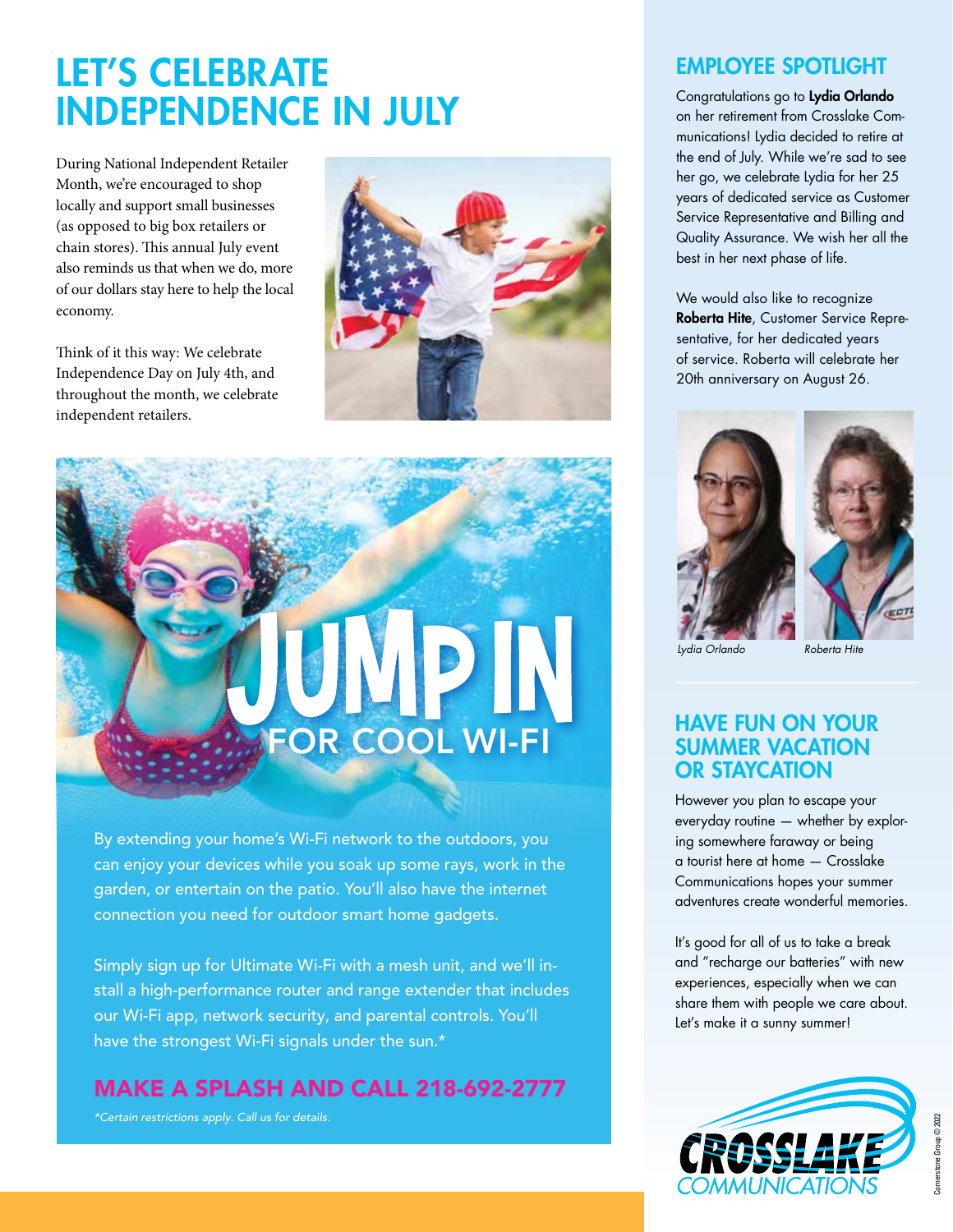# LET'S CELEBRATE INDEPENDENCE IN JULY

During National Independent Retailer Month, we're encouraged to shop locally and support small businesses (as opposed to big box retailers or chain stores). This annual July event also reminds us that when we do, more of our dollars stay here to help the local economy.

Think of it this way: We celebrate Independence Day on July 4th, and throughout the month, we celebrate independent retailers.



# JUMP IN FOR COOL WI-FI

By extending your home's Wi-Fi network to the outdoors, you can enjoy your devices while you soak up some rays, work in the garden, or entertain on the patio. You'll also have the internet connection you need for outdoor smart home gadgets.

Simply sign up for Ultimate Wi-Fi with a mesh unit, and we'll install a high-performance router and range extender that includes our Wi-Fi app, network security, and parental controls. You'll have the strongest Wi-Fi signals under the sun.\*

MAKE A SPLASH AND CALL 218-692-2777

*\*Certain restrictions apply. Call us for details.*

# EMPLOYEE SPOTLIGHT

Congratulations go to Lydia Orlando on her retirement from Crosslake Communications! Lydia decided to retire at the end of July. While we're sad to see her go, we celebrate Lydia for her 25 years of dedicated service as Customer Service Representative and Billing and Quality Assurance. We wish her all the best in her next phase of life.

We would also like to recognize Roberta Hite, Customer Service Representative, for her dedicated years of service. Roberta will celebrate her 20th anniversary on August 26.





*Lydia Orlando Roberta Hite*

# HAVE FUN ON YOUR SUMMER VACATION OR STAYCATION

However you plan to escape your everyday routine — whether by exploring somewhere faraway or being a tourist here at home — Crosslake Communications hopes your summer adventures create wonderful memories.

It's good for all of us to take a break and "recharge our batteries" with new experiences, especially when we can share them with people we care about. Let's make it a sunny summer!